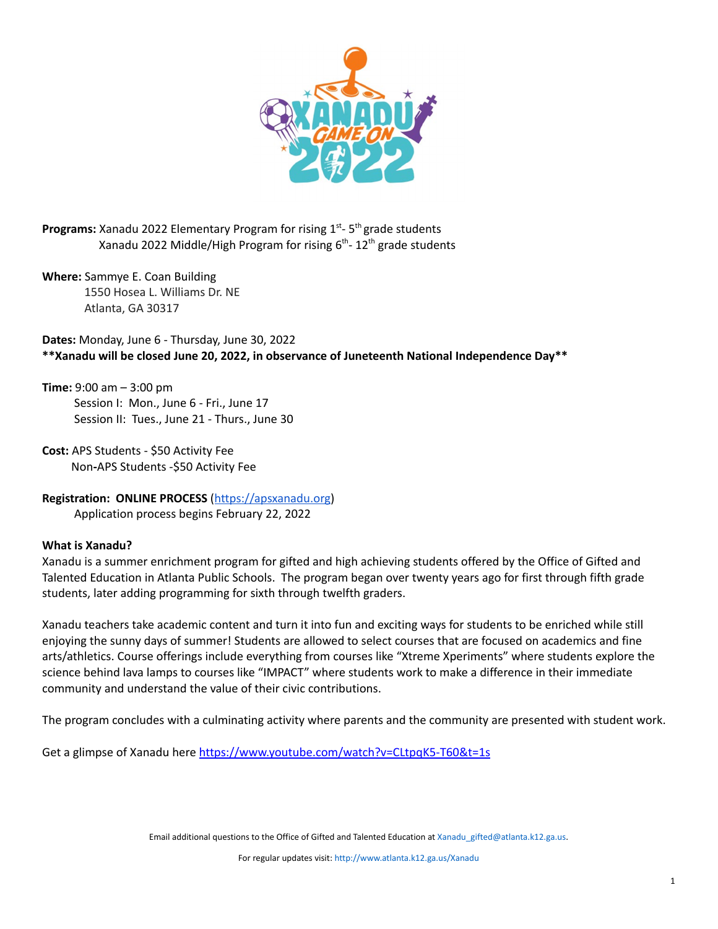

Programs: Xanadu 2022 Elementary Program for rising 1<sup>st</sup>-5<sup>th</sup> grade students Xanadu 2022 Middle/High Program for rising 6<sup>th</sup>-12<sup>th</sup> grade students

**Where:** Sammye E. Coan Building 1550 Hosea L. Williams Dr. NE Atlanta, GA 30317

**Dates:** Monday, June 6 - Thursday, June 30, 2022 **\*\*Xanadu will be closed June 20, 2022, in observance of Juneteenth National Independence Day\*\***

**Time:** 9:00 am – 3:00 pm Session I: Mon., June 6 - Fri., June 17 Session II: Tues., June 21 - Thurs., June 30

**Cost:** APS Students - \$50 Activity Fee Non**-**APS Students -\$50 Activity Fee

**Registration: ONLINE PROCESS** ([https://apsxanadu.org\)](http://apsxanadu.org) Application process begins February 22, 2022

## **What is Xanadu?**

Xanadu is a summer enrichment program for gifted and high achieving students offered by the Office of Gifted and Talented Education in Atlanta Public Schools. The program began over twenty years ago for first through fifth grade students, later adding programming for sixth through twelfth graders.

Xanadu teachers take academic content and turn it into fun and exciting ways for students to be enriched while still enjoying the sunny days of summer! Students are allowed to select courses that are focused on academics and fine arts/athletics. Course offerings include everything from courses like "Xtreme Xperiments" where students explore the science behind lava lamps to courses like "IMPACT" where students work to make a difference in their immediate community and understand the value of their civic contributions.

The program concludes with a culminating activity where parents and the community are presented with student work.

Get a glimpse of Xanadu here <https://www.youtube.com/watch?v=CLtpqK5-T60&t=1s>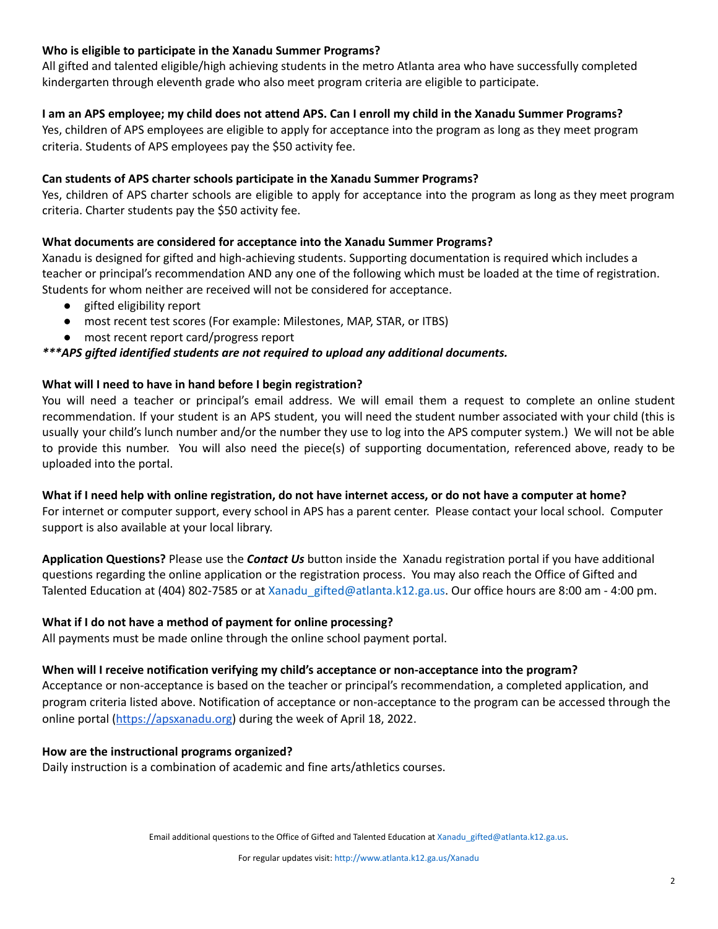# **Who is eligible to participate in the Xanadu Summer Programs?**

All gifted and talented eligible/high achieving students in the metro Atlanta area who have successfully completed kindergarten through eleventh grade who also meet program criteria are eligible to participate.

# I am an APS employee; my child does not attend APS. Can I enroll my child in the Xanadu Summer Programs?

Yes, children of APS employees are eligible to apply for acceptance into the program as long as they meet program criteria. Students of APS employees pay the \$50 activity fee.

## **Can students of APS charter schools participate in the Xanadu Summer Programs?**

Yes, children of APS charter schools are eligible to apply for acceptance into the program as long as they meet program criteria. Charter students pay the \$50 activity fee.

# **What documents are considered for acceptance into the Xanadu Summer Programs?**

Xanadu is designed for gifted and high-achieving students. Supporting documentation is required which includes a teacher or principal's recommendation AND any one of the following which must be loaded at the time of registration. Students for whom neither are received will not be considered for acceptance.

- gifted eligibility report
- most recent test scores (For example: Milestones, MAP, STAR, or ITBS)
- most recent report card/progress report

# *\*\*\*APS gifted identified students are not required to upload any additional documents.*

## **What will I need to have in hand before I begin registration?**

You will need a teacher or principal's email address. We will email them a request to complete an online student recommendation. If your student is an APS student, you will need the student number associated with your child (this is usually your child's lunch number and/or the number they use to log into the APS computer system.) We will not be able to provide this number. You will also need the piece(s) of supporting documentation, referenced above, ready to be uploaded into the portal.

What if I need help with online registration, do not have internet access, or do not have a computer at home? For internet or computer support, every school in APS has a parent center. Please contact your local school. Computer support is also available at your local library.

**Application Questions?** Please use the *Contact Us* button inside the Xanadu registration portal if you have additional questions regarding the online application or the registration process. You may also reach the Office of Gifted and Talented Education at (404) 802-7585 or at Xanadu gifted@atlanta.k12.ga.us. Our office hours are 8:00 am - 4:00 pm.

## **What if I do not have a method of payment for online processing?**

All payments must be made online through the online school payment portal.

## **When will I receive notification verifying my child's acceptance or non-acceptance into the program?**

Acceptance or non-acceptance is based on the teacher or principal's recommendation, a completed application, and program criteria listed above. Notification of acceptance or non-acceptance to the program can be accessed through the online portal (<https://apsxanadu.org>) during the week of April 18, 2022.

## **How are the instructional programs organized?**

Daily instruction is a combination of academic and fine arts/athletics courses.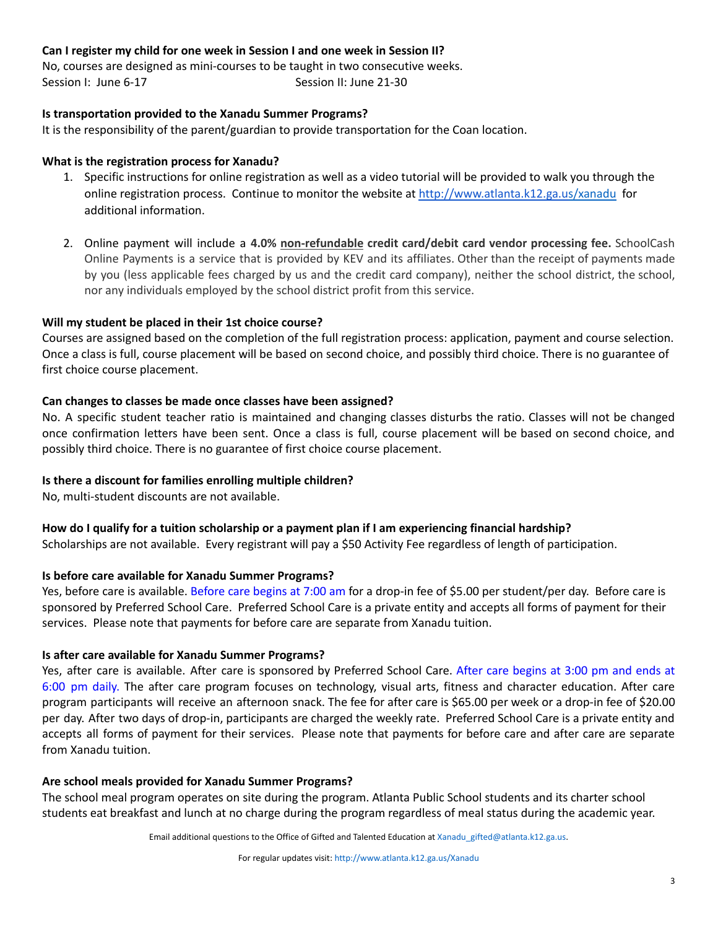# **Can I register my child for one week in Session I and one week in Session II?**

No, courses are designed as mini-courses to be taught in two consecutive weeks. Session I: June 6-17 Session II: June 21-30

### **Is transportation provided to the Xanadu Summer Programs?**

It is the responsibility of the parent/guardian to provide transportation for the Coan location.

### **What is the registration process for Xanadu?**

- 1. Specific instructions for online registration as well as a video tutorial will be provided to walk you through the online registration process. Continue to monitor the website at [http://www.atlanta.k12.ga.us](http://www.atlanta.k12.ga.us/gifted)/xanadu for additional information.
- 2. Online payment will include a **4.0% non-refundable credit card/debit card vendor processing fee.** SchoolCash Online Payments is a service that is provided by KEV and its affiliates. Other than the receipt of payments made by you (less applicable fees charged by us and the credit card company), neither the school district, the school, nor any individuals employed by the school district profit from this service.

## **Will my student be placed in their 1st choice course?**

Courses are assigned based on the completion of the full registration process: application, payment and course selection. Once a class is full, course placement will be based on second choice, and possibly third choice. There is no guarantee of first choice course placement.

#### **Can changes to classes be made once classes have been assigned?**

No. A specific student teacher ratio is maintained and changing classes disturbs the ratio. Classes will not be changed once confirmation letters have been sent. Once a class is full, course placement will be based on second choice, and possibly third choice. There is no guarantee of first choice course placement.

## **Is there a discount for families enrolling multiple children?**

No, multi-student discounts are not available.

## How do I qualify for a tuition scholarship or a payment plan if I am experiencing financial hardship?

Scholarships are not available. Every registrant will pay a \$50 Activity Fee regardless of length of participation.

## **Is before care available for Xanadu Summer Programs?**

Yes, before care is available. Before care begins at 7:00 am for a drop-in fee of \$5.00 per student/per day. Before care is sponsored by Preferred School Care. Preferred School Care is a private entity and accepts all forms of payment for their services. Please note that payments for before care are separate from Xanadu tuition.

#### **Is after care available for Xanadu Summer Programs?**

Yes, after care is available. After care is sponsored by Preferred School Care. After care begins at 3:00 pm and ends at 6:00 pm daily. The after care program focuses on technology, visual arts, fitness and character education. After care program participants will receive an afternoon snack. The fee for after care is \$65.00 per week or a drop-in fee of \$20.00 per day. After two days of drop-in, participants are charged the weekly rate. Preferred School Care is a private entity and accepts all forms of payment for their services. Please note that payments for before care and after care are separate from Xanadu tuition.

## **Are school meals provided for Xanadu Summer Programs?**

The school meal program operates on site during the program. Atlanta Public School students and its charter school students eat breakfast and lunch at no charge during the program regardless of meal status during the academic year.

Email additional questions to the Office of Gifted and Talented Education at [Xanadu\\_gifted@atlanta.k12.ga.us.](mailto:Xanadu_gifted@atlanta.k12.ga.us)